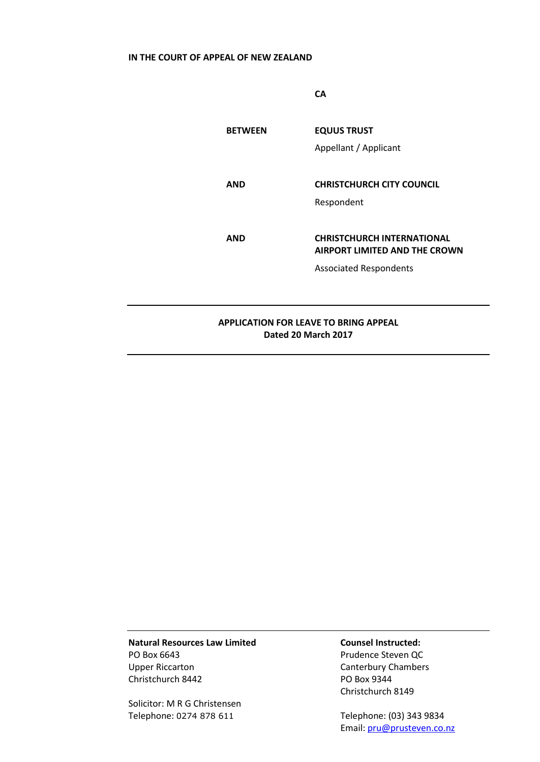# **IN THE COURT OF APPEAL OF NEW ZEALAND**

**CA**

| <b>BETWEEN</b>                               | <b>EQUUS TRUST</b>                   |
|----------------------------------------------|--------------------------------------|
|                                              | Appellant / Applicant                |
|                                              |                                      |
| <b>AND</b>                                   | <b>CHRISTCHURCH CITY COUNCIL</b>     |
|                                              | Respondent                           |
|                                              |                                      |
| <b>AND</b>                                   | <b>CHRISTCHURCH INTERNATIONAL</b>    |
|                                              | <b>AIRPORT LIMITED AND THE CROWN</b> |
|                                              | <b>Associated Respondents</b>        |
|                                              |                                      |
|                                              |                                      |
| <b>APPLICATION FOR LEAVE TO BRING APPEAL</b> |                                      |
| Dated 20 March 2017                          |                                      |

**Natural Resources Law Limited Counsel Instructed:** PO Box 6643 Prudence Steven QC Upper Riccarton **Canterbury Chambers** Christchurch 8442 PO Box 9344

Solicitor: M R G Christensen Telephone: 0274 878 611 Telephone: (03) 343 9834

Christchurch 8149

Email[: pru@prusteven.co.nz](mailto:pru@prusteven.co.nz)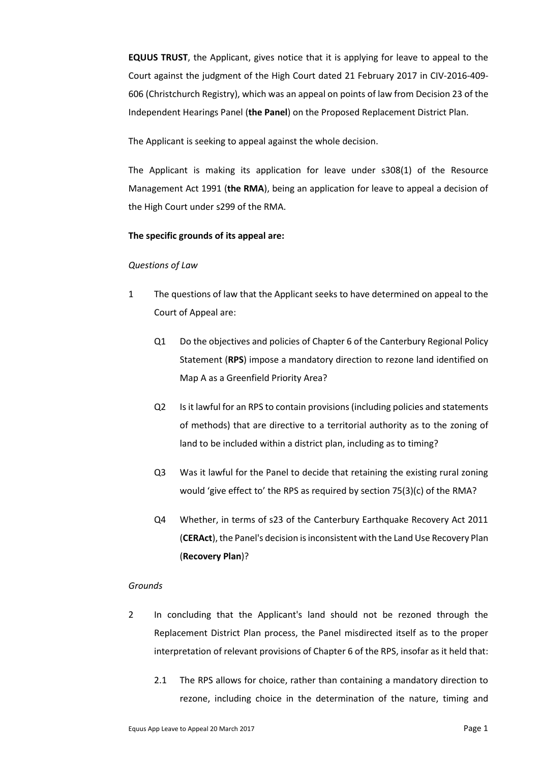**EQUUS TRUST**, the Applicant, gives notice that it is applying for leave to appeal to the Court against the judgment of the High Court dated 21 February 2017 in CIV-2016-409- 606 (Christchurch Registry), which was an appeal on points of law from Decision 23 of the Independent Hearings Panel (**the Panel**) on the Proposed Replacement District Plan.

The Applicant is seeking to appeal against the whole decision.

The Applicant is making its application for leave under s308(1) of the Resource Management Act 1991 (**the RMA**), being an application for leave to appeal a decision of the High Court under s299 of the RMA.

## **The specific grounds of its appeal are:**

#### *Questions of Law*

- 1 The questions of law that the Applicant seeks to have determined on appeal to the Court of Appeal are:
	- Q1 Do the objectives and policies of Chapter 6 of the Canterbury Regional Policy Statement (**RPS**) impose a mandatory direction to rezone land identified on Map A as a Greenfield Priority Area?
	- Q2 Is it lawful for an RPS to contain provisions (including policies and statements of methods) that are directive to a territorial authority as to the zoning of land to be included within a district plan, including as to timing?
	- Q3 Was it lawful for the Panel to decide that retaining the existing rural zoning would 'give effect to' the RPS as required by section 75(3)(c) of the RMA?
	- Q4 Whether, in terms of s23 of the Canterbury Earthquake Recovery Act 2011 (**CERAct**), the Panel's decision is inconsistent with the Land Use Recovery Plan (**Recovery Plan**)?

#### *Grounds*

- 2 In concluding that the Applicant's land should not be rezoned through the Replacement District Plan process, the Panel misdirected itself as to the proper interpretation of relevant provisions of Chapter 6 of the RPS, insofar as it held that:
	- 2.1 The RPS allows for choice, rather than containing a mandatory direction to rezone, including choice in the determination of the nature, timing and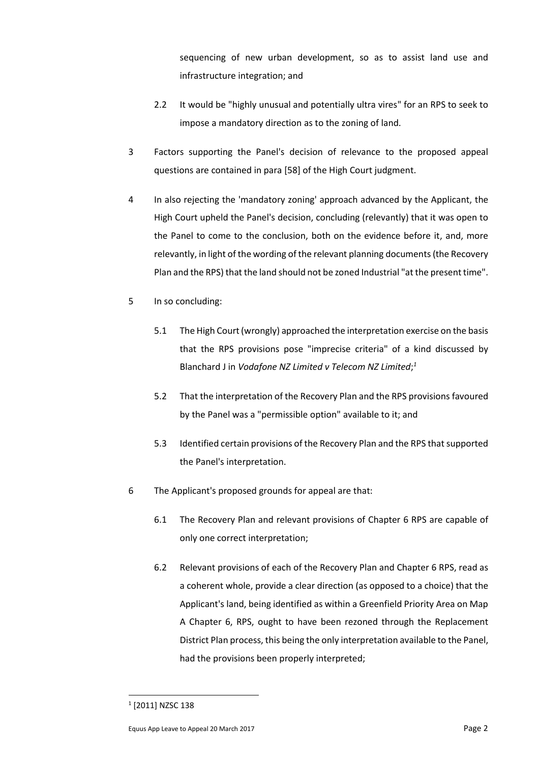sequencing of new urban development, so as to assist land use and infrastructure integration; and

- 2.2 It would be "highly unusual and potentially ultra vires" for an RPS to seek to impose a mandatory direction as to the zoning of land.
- 3 Factors supporting the Panel's decision of relevance to the proposed appeal questions are contained in para [58] of the High Court judgment.
- 4 In also rejecting the 'mandatory zoning' approach advanced by the Applicant, the High Court upheld the Panel's decision, concluding (relevantly) that it was open to the Panel to come to the conclusion, both on the evidence before it, and, more relevantly, in light of the wording of the relevant planning documents (the Recovery Plan and the RPS) that the land should not be zoned Industrial "at the present time".
- 5 In so concluding:
	- 5.1 The High Court(wrongly) approached the interpretation exercise on the basis that the RPS provisions pose "imprecise criteria" of a kind discussed by Blanchard J in *Vodafone NZ Limited v Telecom NZ Limited*; *1*
	- 5.2 That the interpretation of the Recovery Plan and the RPS provisions favoured by the Panel was a "permissible option" available to it; and
	- 5.3 Identified certain provisions of the Recovery Plan and the RPS that supported the Panel's interpretation.
- 6 The Applicant's proposed grounds for appeal are that:
	- 6.1 The Recovery Plan and relevant provisions of Chapter 6 RPS are capable of only one correct interpretation;
	- 6.2 Relevant provisions of each of the Recovery Plan and Chapter 6 RPS, read as a coherent whole, provide a clear direction (as opposed to a choice) that the Applicant's land, being identified as within a Greenfield Priority Area on Map A Chapter 6, RPS, ought to have been rezoned through the Replacement District Plan process, this being the only interpretation available to the Panel, had the provisions been properly interpreted;

1

<sup>1</sup> [2011] NZSC 138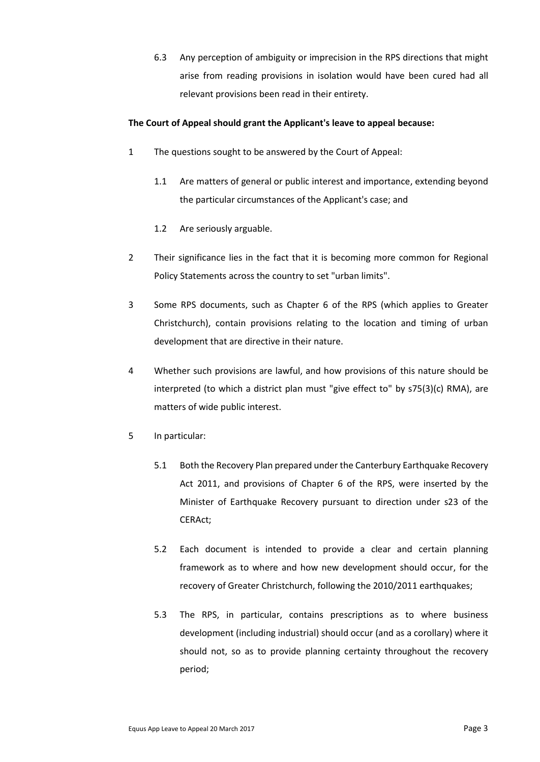6.3 Any perception of ambiguity or imprecision in the RPS directions that might arise from reading provisions in isolation would have been cured had all relevant provisions been read in their entirety.

## **The Court of Appeal should grant the Applicant's leave to appeal because:**

- 1 The questions sought to be answered by the Court of Appeal:
	- 1.1 Are matters of general or public interest and importance, extending beyond the particular circumstances of the Applicant's case; and
	- 1.2 Are seriously arguable.
- 2 Their significance lies in the fact that it is becoming more common for Regional Policy Statements across the country to set "urban limits".
- 3 Some RPS documents, such as Chapter 6 of the RPS (which applies to Greater Christchurch), contain provisions relating to the location and timing of urban development that are directive in their nature.
- 4 Whether such provisions are lawful, and how provisions of this nature should be interpreted (to which a district plan must "give effect to" by s75(3)(c) RMA), are matters of wide public interest.
- 5 In particular:
	- 5.1 Both the Recovery Plan prepared under the Canterbury Earthquake Recovery Act 2011, and provisions of Chapter 6 of the RPS, were inserted by the Minister of Earthquake Recovery pursuant to direction under s23 of the CERAct;
	- 5.2 Each document is intended to provide a clear and certain planning framework as to where and how new development should occur, for the recovery of Greater Christchurch, following the 2010/2011 earthquakes;
	- 5.3 The RPS, in particular, contains prescriptions as to where business development (including industrial) should occur (and as a corollary) where it should not, so as to provide planning certainty throughout the recovery period;